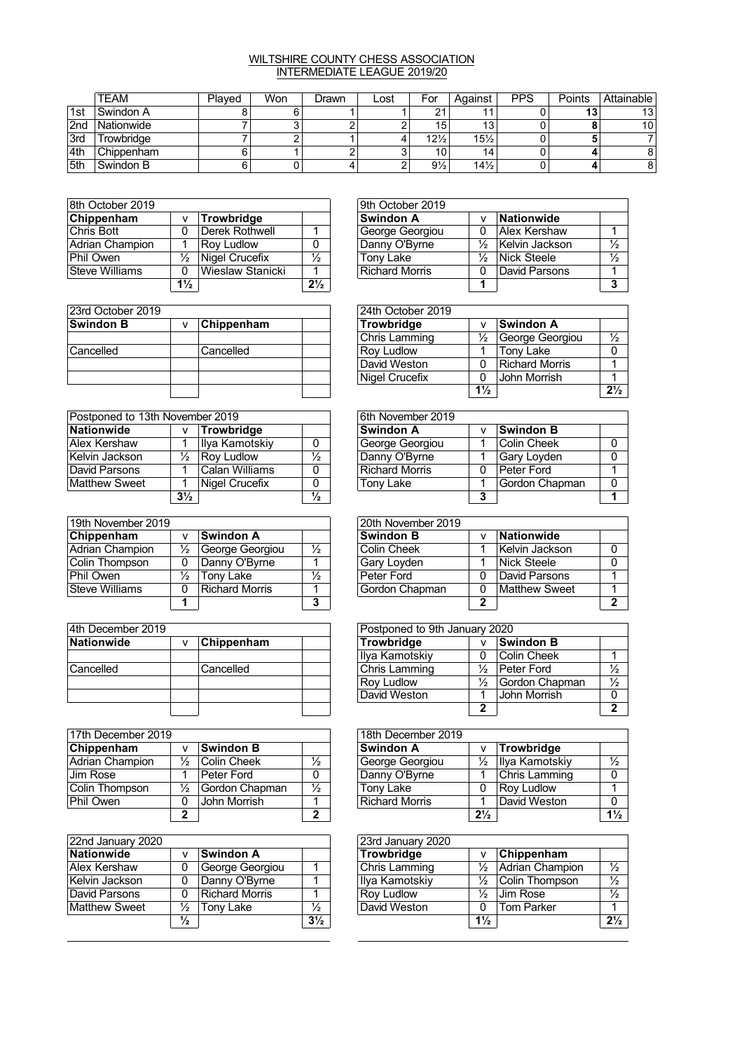## WILTSHIRE COUNTY CHESS ASSOCIATION INTERMEDIATE LEAGUE 2019/20

|     | <b>TEAM</b> | Plaved | Won | Drawn | Lost | For             | Aqainst         | <b>PPS</b> | Points | Attainable      |
|-----|-------------|--------|-----|-------|------|-----------------|-----------------|------------|--------|-----------------|
| 1st | l Swindon A |        |     |       |      | ິ               | 44              |            | 49<br> | 13              |
| 2nd | Nationwide  |        |     |       |      | 15              | 13              |            |        | 10 <sup>1</sup> |
| 3rd | Trowbridge  |        |     |       |      | $12\frac{1}{2}$ | $15\frac{1}{2}$ |            |        |                 |
| 4th | Chippenham  |        |     |       |      | 10              | 14              |            |        | 8               |
| 5th | Swindon B   |        |     |       |      | $9\frac{1}{2}$  | $14\frac{1}{2}$ |            |        | 8               |

| 8th October 2019 |                |                   |                | 9th October 2019 |   |              |
|------------------|----------------|-------------------|----------------|------------------|---|--------------|
| Chippenham       | v              | <b>Trowbridge</b> |                | <b>Swindon A</b> |   | Nationwide   |
| Chris Bott       | 0              | Derek Rothwell    |                | George Georgiou  |   | Alex Kersha  |
| Adrian Champion  |                | <b>Roy Ludlow</b> |                | Danny O'Byrne    |   | Kelvin Jacks |
| Phil Owen        | ⅓              | Nigel Crucefix    | $\frac{1}{2}$  | Tony Lake        | ⅓ | Nick Steele  |
| Steve Williams   | 0              | Wieslaw Stanicki  |                | Richard Morris   | 0 | David Parsor |
|                  | $1\frac{1}{2}$ |                   | $2\frac{1}{2}$ |                  |   |              |

| 23rd October 2019 |   |            |  | 24th October 2019    |                |              |  |  |
|-------------------|---|------------|--|----------------------|----------------|--------------|--|--|
| <b>Swindon B</b>  | v | Chippenham |  | Trowbridge           |                | Swindon A    |  |  |
|                   |   |            |  | <b>Chris Lamming</b> | $\frac{1}{2}$  | George Gec   |  |  |
| Cancelled         |   | Cancelled  |  | <b>Rov Ludlow</b>    |                | Tony Lake    |  |  |
|                   |   |            |  | David Weston         |                | Richard Mor  |  |  |
|                   |   |            |  | Nigel Crucefix       |                | John Morrisl |  |  |
|                   |   |            |  |                      | $1\frac{1}{2}$ |              |  |  |

| Postponed to 13th November 2019 |                |                   |               | 6th November 2019     |   |                  |  |
|---------------------------------|----------------|-------------------|---------------|-----------------------|---|------------------|--|
| Nationwide                      | v              | Trowbridge        |               | ∣Swindon A            |   | <b>Swindon B</b> |  |
| <b>Alex Kershaw</b>             |                | Ilya Kamotskiy    | $\mathbf{0}$  | George Georgiou       |   | Colin Cheek      |  |
| Kelvin Jackson                  | ⅓              | <b>Rov Ludlow</b> | $\frac{1}{2}$ | Danny O'Byrne         |   | Gary Loyder      |  |
| David Parsons                   |                | Calan Williams    | 0             | <b>Richard Morris</b> |   | Peter Ford       |  |
| <b>Matthew Sweet</b>            |                | Nigel Crucefix    | 0             | Tony Lake             |   | Gordon Cha       |  |
|                                 | $3\frac{1}{2}$ |                   | $\frac{1}{2}$ |                       | 3 |                  |  |

| 19th November 2019 |               |                       |               |  |                  |                   |
|--------------------|---------------|-----------------------|---------------|--|------------------|-------------------|
| Chippenham         | v             | Swindon A             |               |  | <b>Swindon B</b> | <b>Nationwide</b> |
| Adrian Champion    | $\frac{1}{2}$ | George Georgiou       | $\frac{1}{2}$ |  | Colin Cheek      | Kelvin Jacks      |
| Colin Thompson     | 0             | Danny O'Byrne         |               |  | Gary Loyden      | Nick Steele       |
| Phil Owen          | $\frac{1}{2}$ | Tony Lake             | $\frac{1}{2}$ |  | Peter Ford       | David Parsor      |
| Steve Williams     | 0             | <b>Richard Morris</b> |               |  | Gordon Chapman   | Matthew Sw        |
|                    |               |                       | 3             |  |                  |                   |

| 4th December 2019 |  |            |  | Postponed to 9th January 2020 |   |             |
|-------------------|--|------------|--|-------------------------------|---|-------------|
| Nationwide        |  | Chippenham |  | Trowbridge                    | v | ∣Swindon B  |
|                   |  |            |  | Ilya Kamotskiy                |   | Colin Cheek |
| Cancelled         |  | Cancelled  |  | Chris Lamming                 | ⅓ | Peter Ford  |
|                   |  |            |  | <b>Roy Ludlow</b>             | ⅓ | Gordon Cha  |
|                   |  |            |  | David Weston                  |   | John Morris |
|                   |  |            |  |                               | າ |             |

| 17th December 2019 |               |                  | 18th December 2019 |  |                       |                |              |
|--------------------|---------------|------------------|--------------------|--|-----------------------|----------------|--------------|
| Chippenham         | Λ             | <b>Swindon B</b> |                    |  | ∣Swindon A            |                | Trowbridge   |
| Adrian Champion    | ⅓             | Colin Cheek      | $\frac{1}{2}$      |  | George Georgiou       | $\frac{1}{2}$  | Ilya Kamotsl |
| <b>Jim Rose</b>    |               | Peter Ford       | 0                  |  | Danny O'Byrne         |                | ∣Chris Lammi |
| Colin Thompson     | $\frac{1}{2}$ | Gordon Chapman   | $\frac{1}{2}$      |  | Tony Lake             |                | Rov Ludlow   |
| Phil Owen          | 0             | John Morrish     |                    |  | <b>Richard Morris</b> |                | David Westo  |
|                    | 2             |                  | 2                  |  |                       | $2\frac{1}{2}$ |              |

| 22nd January 2020    |               |                  |                | 23rd January 2020 |                |                   |                |  |  |
|----------------------|---------------|------------------|----------------|-------------------|----------------|-------------------|----------------|--|--|
| Nationwide           | v             | <b>Swindon A</b> |                | <b>Trowbridge</b> |                | Chippenham        |                |  |  |
| Alex Kershaw         | 0             | George Georgiou  |                | Chris Lamming     | ⅓              | Adrian Champion   | $\frac{1}{2}$  |  |  |
| Kelvin Jackson       | 0             | Danny O'Byrne    |                | Ilya Kamotskiy    | ⅓              | Colin Thompson    | $\frac{1}{2}$  |  |  |
| David Parsons        | 0             | Richard Morris   |                | <b>Roy Ludlow</b> | ⅓              | ∣Jim Rose         | $\frac{1}{2}$  |  |  |
| <b>Matthew Sweet</b> | $\frac{1}{2}$ | Tonv Lake        | $\frac{1}{2}$  | David Weston      | 0              | <b>Tom Parker</b> |                |  |  |
|                      | $\frac{1}{2}$ |                  | $3\frac{1}{2}$ |                   | $1\frac{1}{2}$ |                   | 2 <sup>1</sup> |  |  |

| 8th October 2019 |                |                   |                | 9th October 2019 |               |                |  |
|------------------|----------------|-------------------|----------------|------------------|---------------|----------------|--|
| Chippenham       |                | Trowbridge        |                | Swindon A        |               | Nationwide     |  |
| Chris Bott       | 0              | Derek Rothwell    |                | George Georgiou  |               | Alex Kershaw   |  |
| Adrian Champion  |                | <b>Rov Ludlow</b> |                | Danny O'Byrne    | $\frac{1}{2}$ | Kelvin Jackson |  |
| Phil Owen        | ⅓              | Nigel Crucefix    | $\frac{1}{2}$  | Tony Lake        | $\frac{1}{2}$ | Nick Steele    |  |
| Steve Williams   | 0              | Wieslaw Stanicki  |                | Richard Morris   |               | David Parsons  |  |
|                  | $1\frac{1}{2}$ |                   | $2\frac{1}{2}$ |                  |               |                |  |

| 23rd October 2019 |            | 24th October 2019 |                |                 |                |  |  |  |  |
|-------------------|------------|-------------------|----------------|-----------------|----------------|--|--|--|--|
| Swindon B         | Chippenham | <b>Trowbridge</b> |                | ∣Swindon A      |                |  |  |  |  |
|                   |            | Chris Lamming     | $\frac{1}{2}$  | George Georgiou | $\frac{1}{2}$  |  |  |  |  |
| Cancelled         | Cancelled  | <b>Rov Ludlow</b> |                | Tony Lake       |                |  |  |  |  |
|                   |            | David Weston      | 0              | Richard Morris  |                |  |  |  |  |
|                   |            | Nigel Crucefix    |                | John Morrish    |                |  |  |  |  |
|                   |            |                   | $1\frac{1}{2}$ |                 | $2\frac{1}{2}$ |  |  |  |  |

| Postponed to 13th November 2019 |                |                |               | 6th November 2019     |  |                  |  |  |  |  |
|---------------------------------|----------------|----------------|---------------|-----------------------|--|------------------|--|--|--|--|
| Nationwide                      | v              | Trowbridge     |               | <b>Swindon A</b>      |  | <b>Swindon B</b> |  |  |  |  |
| Alex Kershaw                    |                | Ilya Kamotskiy |               | George Georgiou       |  | Colin Cheek      |  |  |  |  |
| Kelvin Jackson                  | ⅓              | Rov Ludlow     | $\frac{1}{2}$ | Danny O'Byrne         |  | Gary Loyden      |  |  |  |  |
| David Parsons                   |                | Calan Williams |               | <b>Richard Morris</b> |  | Peter Ford       |  |  |  |  |
| Matthew Sweet                   |                | Nigel Crucefix |               | Tony Lake             |  | Gordon Chapman   |  |  |  |  |
|                                 | $3\frac{1}{2}$ |                | $\frac{1}{2}$ |                       |  |                  |  |  |  |  |

| 19th November 2019 |   |                  |               | 20th November 2019 |   |                   |  |
|--------------------|---|------------------|---------------|--------------------|---|-------------------|--|
| Chippenham         |   | <b>Swindon A</b> |               | <b>Swindon B</b>   |   | <b>Nationwide</b> |  |
| Adrian Champion    | ⅓ | George Georgiou  | $\frac{1}{2}$ | Colin Cheek        |   | Kelvin Jackson    |  |
| Colin Thompson     |   | Danny O'Byrne    |               | Gary Loyden        |   | Nick Steele       |  |
| Phil Owen          | ℅ | Tony Lake        | $\frac{1}{2}$ | Peter Ford         |   | David Parsons     |  |
| Steve Williams     | 0 | Richard Morris   |               | Gordon Chapman     | ∩ | Matthew Sweet     |  |
|                    |   |                  |               |                    | 灬 |                   |  |

| 4th December 2019 |                        |           | Postponed to 9th January 2020 |   |                   |  |  |  |  |
|-------------------|------------------------|-----------|-------------------------------|---|-------------------|--|--|--|--|
| Nationwide        | <b>Chippenham</b><br>v |           | <b>Trowbridge</b>             | v | ∣Swindon B        |  |  |  |  |
|                   |                        |           | Ilya Kamotskiy                |   | Colin Cheek       |  |  |  |  |
| Cancelled         |                        | Cancelled | Chris Lamming                 | ⅓ | <b>Peter Ford</b> |  |  |  |  |
|                   |                        |           | <b>Rov Ludlow</b>             | ⅓ | Gordon Chapman    |  |  |  |  |
|                   |                        |           | David Weston                  |   | John Morrish      |  |  |  |  |
|                   |                        |           |                               |   |                   |  |  |  |  |

| 17th December 2019 |               |                  |               |  | 18th December 2019    |                |                   |                |  |  |
|--------------------|---------------|------------------|---------------|--|-----------------------|----------------|-------------------|----------------|--|--|
| Chippenham         | ٧             | <b>Swindon B</b> |               |  | <b>Swindon A</b>      |                | Trowbridge        |                |  |  |
| Adrian Champion    | ⅓             | Colin Cheek      | $\frac{1}{2}$ |  | George Georgiou       | $\frac{1}{2}$  | Ilya Kamotskiy    |                |  |  |
| Jim Rose           |               | l Peter Ford     |               |  | Danny O'Byrne         |                | Chris Lamming     |                |  |  |
| Colin Thompson     | $\frac{1}{2}$ | Gordon Chapman   | $\frac{1}{2}$ |  | Tony Lake             |                | <b>Rov Ludlow</b> |                |  |  |
| Phil Owen          | 0             | John Morrish     |               |  | <b>Richard Morris</b> |                | David Weston      |                |  |  |
|                    | ∍             |                  | ົ             |  |                       | $2\frac{1}{2}$ |                   | $1\frac{1}{2}$ |  |  |

| 22nd January 2020 |               |                 |                |  | 23rd January 2020 |                |                               |                |  |  |  |
|-------------------|---------------|-----------------|----------------|--|-------------------|----------------|-------------------------------|----------------|--|--|--|
| Nationwide        |               | ∣Swindon A      |                |  | Trowbridge        |                | $\sqrt{\mathsf{Ch}}$ ippenham |                |  |  |  |
| Alex Kershaw      | 0             | George Georgiou |                |  | Chris Lamming     | $\frac{1}{2}$  | Adrian Champion               |                |  |  |  |
| Kelvin Jackson    | 0             | Danny O'Byrne   |                |  | Ilya Kamotskiy    | 1⁄2            | Colin Thompson                |                |  |  |  |
| David Parsons     | 0             | Richard Morris  |                |  | <b>Roy Ludlow</b> | $\frac{1}{2}$  | <b>Jim Rose</b>               |                |  |  |  |
| Matthew Sweet     | ⅓             | Tony Lake       | $\frac{1}{2}$  |  | David Weston      | 0              | Tom Parker                    |                |  |  |  |
|                   | $\frac{1}{2}$ |                 | $3\frac{1}{2}$ |  |                   | $1\frac{1}{2}$ |                               | $2\frac{1}{2}$ |  |  |  |